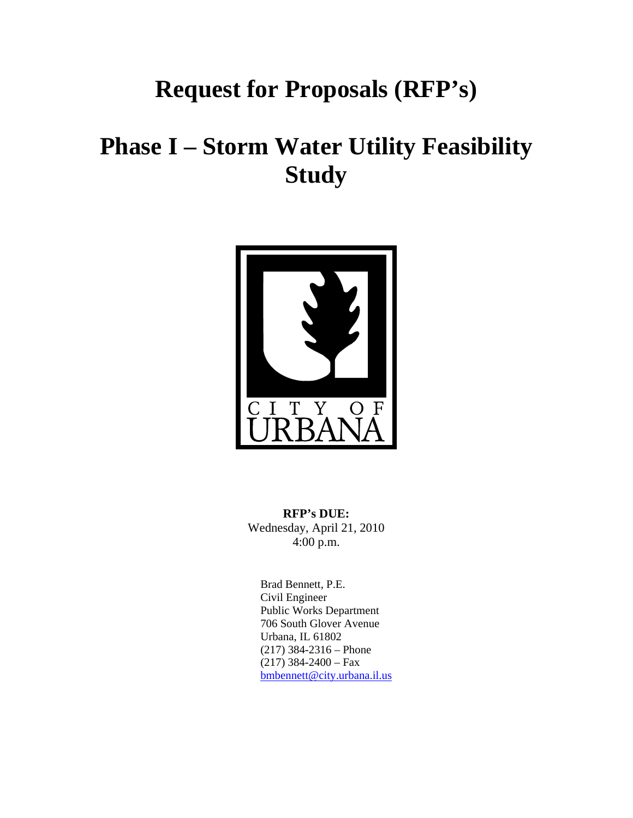# **Request for Proposals (RFP's)**

# **Phase I – Storm Water Utility Feasibility Study**



**RFP's DUE:**  Wednesday, April 21, 2010 4:00 p.m.

Brad Bennett, P.E. Civil Engineer Public Works Department 706 South Glover Avenue Urbana, IL 61802 (217) 384-2316 – Phone  $(217)$  384-2400 – Fax [bmbennett@city.urbana.il.us](mailto:bmbennett@city.urbana.il.us)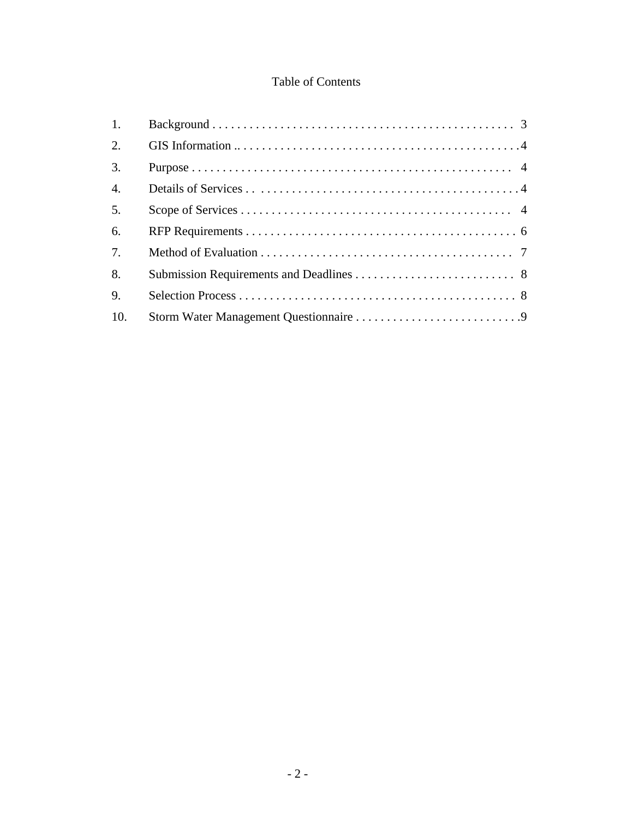## Table of Contents

| $\mathbf{1}$ .   |  |
|------------------|--|
| $\overline{2}$ . |  |
| 3.               |  |
| $\overline{4}$ . |  |
| 5.               |  |
| 6.               |  |
| 7.               |  |
| 8.               |  |
| 9.               |  |
| 10.              |  |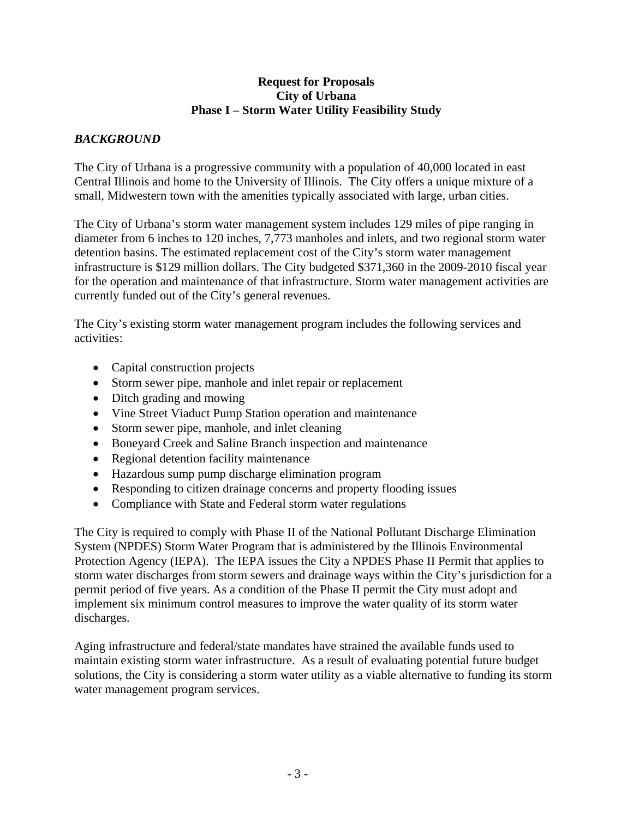#### **Request for Proposals City of Urbana Phase I – Storm Water Utility Feasibility Study**

#### *BACKGROUND*

The City of Urbana is a progressive community with a population of 40,000 located in east Central Illinois and home to the University of Illinois. The City offers a unique mixture of a small, Midwestern town with the amenities typically associated with large, urban cities.

The City of Urbana's storm water management system includes 129 miles of pipe ranging in diameter from 6 inches to 120 inches, 7,773 manholes and inlets, and two regional storm water detention basins. The estimated replacement cost of the City's storm water management infrastructure is \$129 million dollars. The City budgeted \$371,360 in the 2009-2010 fiscal year for the operation and maintenance of that infrastructure. Storm water management activities are currently funded out of the City's general revenues.

The City's existing storm water management program includes the following services and activities:

- Capital construction projects
- Storm sewer pipe, manhole and inlet repair or replacement
- Ditch grading and mowing
- Vine Street Viaduct Pump Station operation and maintenance
- Storm sewer pipe, manhole, and inlet cleaning
- Boneyard Creek and Saline Branch inspection and maintenance
- Regional detention facility maintenance
- Hazardous sump pump discharge elimination program
- Responding to citizen drainage concerns and property flooding issues
- Compliance with State and Federal storm water regulations

The City is required to comply with Phase II of the National Pollutant Discharge Elimination System (NPDES) Storm Water Program that is administered by the Illinois Environmental Protection Agency (IEPA). The IEPA issues the City a NPDES Phase II Permit that applies to storm water discharges from storm sewers and drainage ways within the City's jurisdiction for a permit period of five years. As a condition of the Phase II permit the City must adopt and implement six minimum control measures to improve the water quality of its storm water discharges.

Aging infrastructure and federal/state mandates have strained the available funds used to maintain existing storm water infrastructure. As a result of evaluating potential future budget solutions, the City is considering a storm water utility as a viable alternative to funding its storm water management program services.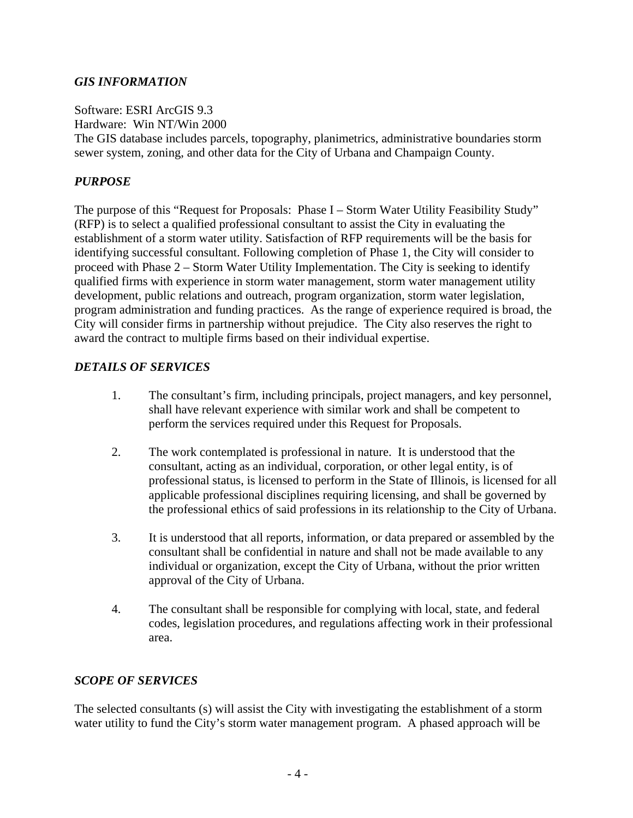#### *GIS INFORMATION*

Software: ESRI ArcGIS 9.3

Hardware: Win NT/Win 2000

The GIS database includes parcels, topography, planimetrics, administrative boundaries storm sewer system, zoning, and other data for the City of Urbana and Champaign County.

## *PURPOSE*

The purpose of this "Request for Proposals: Phase I – Storm Water Utility Feasibility Study" (RFP) is to select a qualified professional consultant to assist the City in evaluating the establishment of a storm water utility. Satisfaction of RFP requirements will be the basis for identifying successful consultant. Following completion of Phase 1, the City will consider to proceed with Phase 2 – Storm Water Utility Implementation. The City is seeking to identify qualified firms with experience in storm water management, storm water management utility development, public relations and outreach, program organization, storm water legislation, program administration and funding practices. As the range of experience required is broad, the City will consider firms in partnership without prejudice. The City also reserves the right to award the contract to multiple firms based on their individual expertise.

## *DETAILS OF SERVICES*

- 1. The consultant's firm, including principals, project managers, and key personnel, shall have relevant experience with similar work and shall be competent to perform the services required under this Request for Proposals.
- 2. The work contemplated is professional in nature. It is understood that the consultant, acting as an individual, corporation, or other legal entity, is of professional status, is licensed to perform in the State of Illinois, is licensed for all applicable professional disciplines requiring licensing, and shall be governed by the professional ethics of said professions in its relationship to the City of Urbana.
- 3. It is understood that all reports, information, or data prepared or assembled by the consultant shall be confidential in nature and shall not be made available to any individual or organization, except the City of Urbana, without the prior written approval of the City of Urbana.
- 4. The consultant shall be responsible for complying with local, state, and federal codes, legislation procedures, and regulations affecting work in their professional area.

### *SCOPE OF SERVICES*

The selected consultants (s) will assist the City with investigating the establishment of a storm water utility to fund the City's storm water management program. A phased approach will be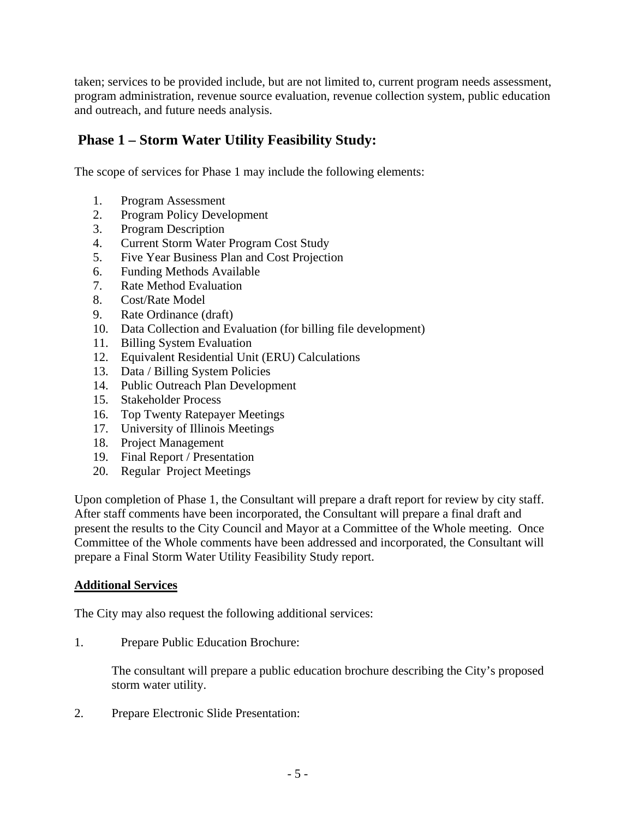taken; services to be provided include, but are not limited to, current program needs assessment, program administration, revenue source evaluation, revenue collection system, public education and outreach, and future needs analysis.

# **Phase 1 – Storm Water Utility Feasibility Study:**

The scope of services for Phase 1 may include the following elements:

- 1. Program Assessment
- 2. Program Policy Development
- 3. Program Description
- 4. Current Storm Water Program Cost Study
- 5. Five Year Business Plan and Cost Projection
- 6. Funding Methods Available
- 7. Rate Method Evaluation
- 8. Cost/Rate Model
- 9. Rate Ordinance (draft)
- 10. Data Collection and Evaluation (for billing file development)
- 11. Billing System Evaluation
- 12. Equivalent Residential Unit (ERU) Calculations
- 13. Data / Billing System Policies
- 14. Public Outreach Plan Development
- 15. Stakeholder Process
- 16. Top Twenty Ratepayer Meetings
- 17. University of Illinois Meetings
- 18. Project Management
- 19. Final Report / Presentation
- 20. Regular Project Meetings

Upon completion of Phase 1, the Consultant will prepare a draft report for review by city staff. After staff comments have been incorporated, the Consultant will prepare a final draft and present the results to the City Council and Mayor at a Committee of the Whole meeting. Once Committee of the Whole comments have been addressed and incorporated, the Consultant will prepare a Final Storm Water Utility Feasibility Study report.

#### **Additional Services**

The City may also request the following additional services:

1. Prepare Public Education Brochure:

 The consultant will prepare a public education brochure describing the City's proposed storm water utility.

2. Prepare Electronic Slide Presentation: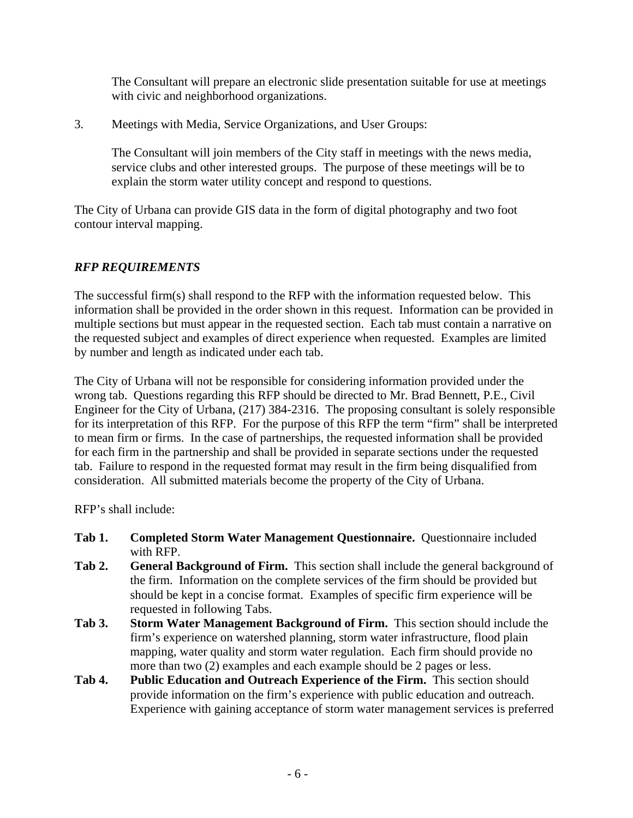The Consultant will prepare an electronic slide presentation suitable for use at meetings with civic and neighborhood organizations.

3. Meetings with Media, Service Organizations, and User Groups:

 The Consultant will join members of the City staff in meetings with the news media, service clubs and other interested groups. The purpose of these meetings will be to explain the storm water utility concept and respond to questions.

The City of Urbana can provide GIS data in the form of digital photography and two foot contour interval mapping.

# *RFP REQUIREMENTS*

The successful firm(s) shall respond to the RFP with the information requested below. This information shall be provided in the order shown in this request. Information can be provided in multiple sections but must appear in the requested section. Each tab must contain a narrative on the requested subject and examples of direct experience when requested. Examples are limited by number and length as indicated under each tab.

The City of Urbana will not be responsible for considering information provided under the wrong tab. Questions regarding this RFP should be directed to Mr. Brad Bennett, P.E., Civil Engineer for the City of Urbana, (217) 384-2316. The proposing consultant is solely responsible for its interpretation of this RFP. For the purpose of this RFP the term "firm" shall be interpreted to mean firm or firms. In the case of partnerships, the requested information shall be provided for each firm in the partnership and shall be provided in separate sections under the requested tab. Failure to respond in the requested format may result in the firm being disqualified from consideration. All submitted materials become the property of the City of Urbana.

RFP's shall include:

- **Tab 1. Completed Storm Water Management Questionnaire.** Questionnaire included with RFP.
- **Tab 2. General Background of Firm.** This section shall include the general background of the firm. Information on the complete services of the firm should be provided but should be kept in a concise format. Examples of specific firm experience will be requested in following Tabs.
- **Tab 3. Storm Water Management Background of Firm.** This section should include the firm's experience on watershed planning, storm water infrastructure, flood plain mapping, water quality and storm water regulation. Each firm should provide no more than two (2) examples and each example should be 2 pages or less.
- **Tab 4. Public Education and Outreach Experience of the Firm.** This section should provide information on the firm's experience with public education and outreach. Experience with gaining acceptance of storm water management services is preferred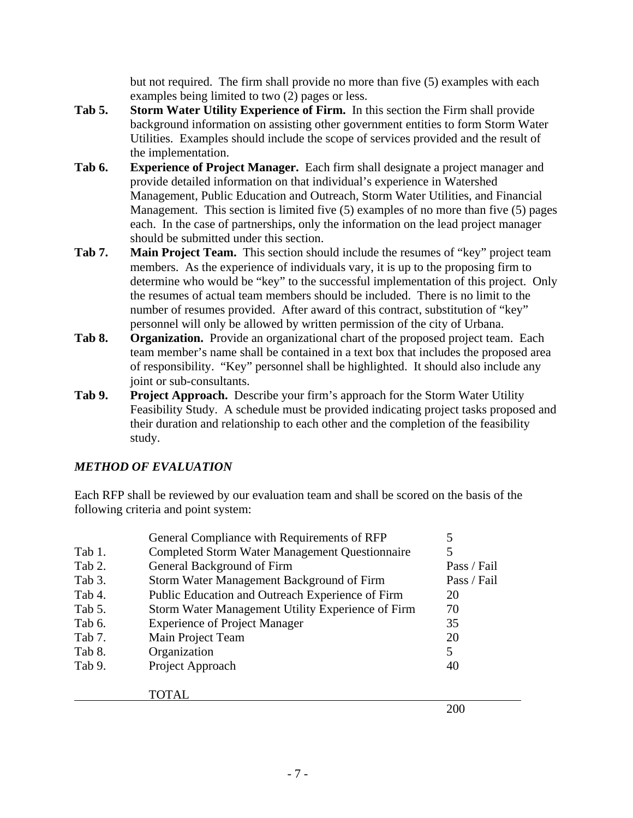but not required. The firm shall provide no more than five (5) examples with each examples being limited to two (2) pages or less.

- **Tab 5. Storm Water Utility Experience of Firm.** In this section the Firm shall provide background information on assisting other government entities to form Storm Water Utilities. Examples should include the scope of services provided and the result of the implementation.
- **Tab 6. Experience of Project Manager.** Each firm shall designate a project manager and provide detailed information on that individual's experience in Watershed Management, Public Education and Outreach, Storm Water Utilities, and Financial Management. This section is limited five (5) examples of no more than five (5) pages each. In the case of partnerships, only the information on the lead project manager should be submitted under this section.
- **Tab 7. Main Project Team.** This section should include the resumes of "key" project team members. As the experience of individuals vary, it is up to the proposing firm to determine who would be "key" to the successful implementation of this project. Only the resumes of actual team members should be included. There is no limit to the number of resumes provided. After award of this contract, substitution of "key" personnel will only be allowed by written permission of the city of Urbana.
- **Tab 8. Organization.** Provide an organizational chart of the proposed project team. Each team member's name shall be contained in a text box that includes the proposed area of responsibility. "Key" personnel shall be highlighted. It should also include any joint or sub-consultants.
- **Tab 9. Project Approach.** Describe your firm's approach for the Storm Water Utility Feasibility Study. A schedule must be provided indicating project tasks proposed and their duration and relationship to each other and the completion of the feasibility study.

### *METHOD OF EVALUATION*

Each RFP shall be reviewed by our evaluation team and shall be scored on the basis of the following criteria and point system:

|        | General Compliance with Requirements of RFP           | 5           |
|--------|-------------------------------------------------------|-------------|
| Tab 1. | <b>Completed Storm Water Management Questionnaire</b> | 5           |
| Tab 2. | General Background of Firm                            | Pass / Fail |
| Tab 3. | Storm Water Management Background of Firm             | Pass / Fail |
| Tab 4. | Public Education and Outreach Experience of Firm      | 20          |
| Tab 5. | Storm Water Management Utility Experience of Firm     | 70          |
| Tab 6. | <b>Experience of Project Manager</b>                  | 35          |
| Tab 7. | Main Project Team                                     | 20          |
| Tab 8. | Organization                                          | 5           |
| Tab 9. | Project Approach                                      | 40          |
|        | TOTAL                                                 |             |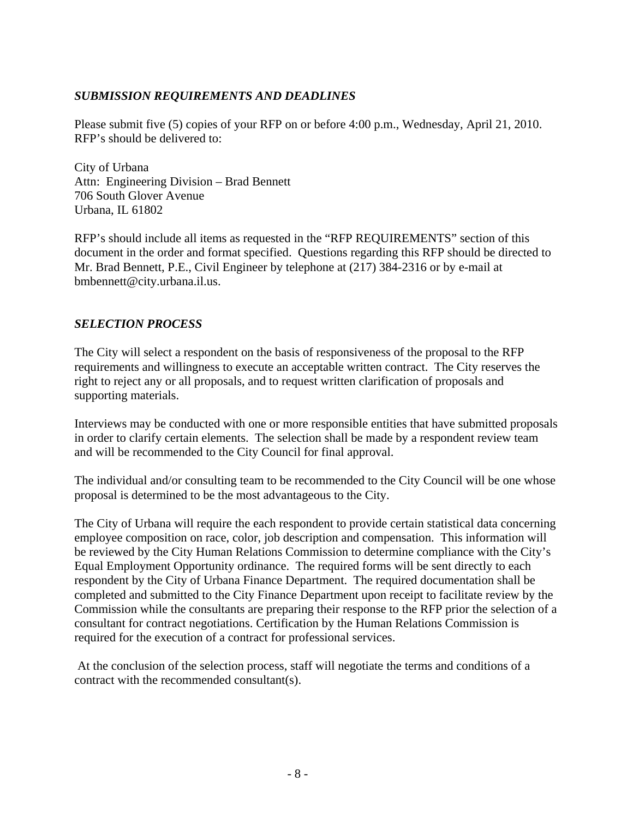#### *SUBMISSION REQUIREMENTS AND DEADLINES*

Please submit five (5) copies of your RFP on or before 4:00 p.m., Wednesday, April 21, 2010. RFP's should be delivered to:

City of Urbana Attn: Engineering Division – Brad Bennett 706 South Glover Avenue Urbana, IL 61802

RFP's should include all items as requested in the "RFP REQUIREMENTS" section of this document in the order and format specified. Questions regarding this RFP should be directed to Mr. Brad Bennett, P.E., Civil Engineer by telephone at (217) 384-2316 or by e-mail at bmbennett@city.urbana.il.us.

#### *SELECTION PROCESS*

The City will select a respondent on the basis of responsiveness of the proposal to the RFP requirements and willingness to execute an acceptable written contract. The City reserves the right to reject any or all proposals, and to request written clarification of proposals and supporting materials.

Interviews may be conducted with one or more responsible entities that have submitted proposals in order to clarify certain elements. The selection shall be made by a respondent review team and will be recommended to the City Council for final approval.

The individual and/or consulting team to be recommended to the City Council will be one whose proposal is determined to be the most advantageous to the City.

The City of Urbana will require the each respondent to provide certain statistical data concerning employee composition on race, color, job description and compensation. This information will be reviewed by the City Human Relations Commission to determine compliance with the City's Equal Employment Opportunity ordinance. The required forms will be sent directly to each respondent by the City of Urbana Finance Department. The required documentation shall be completed and submitted to the City Finance Department upon receipt to facilitate review by the Commission while the consultants are preparing their response to the RFP prior the selection of a consultant for contract negotiations. Certification by the Human Relations Commission is required for the execution of a contract for professional services.

 At the conclusion of the selection process, staff will negotiate the terms and conditions of a contract with the recommended consultant(s).